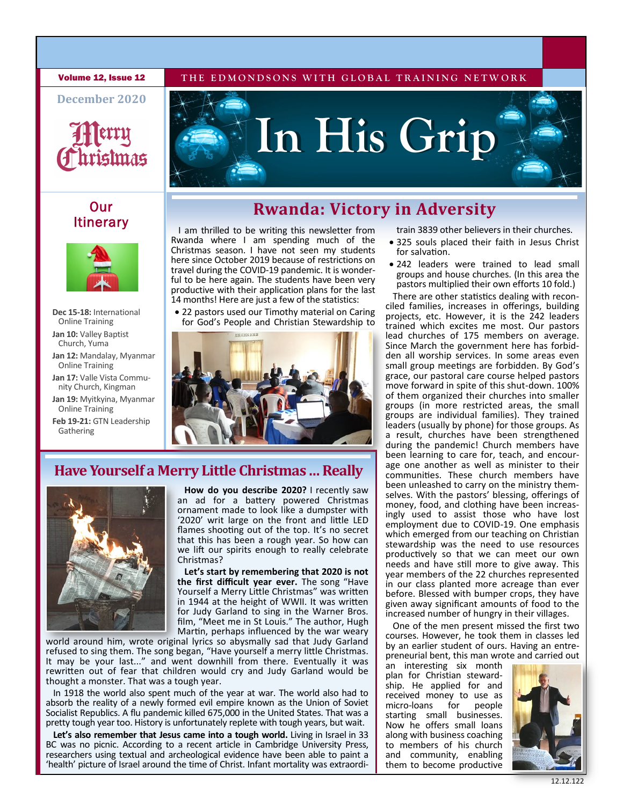**Volume 12, Issue 12** THE EDMONDSONS WITH GLOBAL TRAINING NETWORK

**December 2020**



### **Our Itinerary**



- **Dec 15-18:** International Online Training Jan 10: Valley Baptist Church, Yuma
- **Jan 12:** Mandalay, Myanmar Online Training
- **Jan 17:** Valle Vista Community Church, Kingman
- **Jan 19:** Myitkyina, Myanmar Online Training
- **Feb 19-21:** GTN Leadership Gathering



**In His Grip**

I am thrilled to be writing this newsletter from Rwanda where I am spending much of the Christmas season. I have not seen my students here since October 2019 because of restrictions on travel during the COVID-19 pandemic. It is wonderful to be here again. The students have been very productive with their application plans for the last 14 months! Here are just a few of the statistics:

• 22 pastors used our Timothy material on Caring for God's People and Christian Stewardship to



## **Have Yourself a Merry Little Christmas … Really**



 **How do you describe 2020?** I recently saw an ad for a battery powered Christmas ornament made to look like a dumpster with '2020' writ large on the front and little LED flames shooting out of the top. It's no secret that this has been a rough year. So how can we lift our spirits enough to really celebrate Christmas?

 **Let's start by remembering that 2020 is not the first difficult year ever.** The song "Have Yourself a Merry Little Christmas" was written in 1944 at the height of WWII. It was written for Judy Garland to sing in the Warner Bros. film, "Meet me in St Louis." The author, Hugh Martin, perhaps influenced by the war weary

world around him, wrote original lyrics so abysmally sad that Judy Garland refused to sing them. The song began, "Have yourself a merry little Christmas. It may be your last..." and went downhill from there. Eventually it was rewritten out of fear that children would cry and Judy Garland would be thought a monster. That was a tough year.

In 1918 the world also spent much of the year at war. The world also had to absorb the reality of a newly formed evil empire known as the Union of Soviet Socialist Republics. A flu pandemic killed 675,000 in the United States. That was a pretty tough year too. History is unfortunately replete with tough years, but wait.

**Let's also remember that Jesus came into a tough world.** Living in Israel in 33 BC was no picnic. According to a recent article in Cambridge University Press, researchers using textual and archeological evidence have been able to paint a 'health' picture of Israel around the time of Christ. Infant mortality was extraorditrain 3839 other believers in their churches.

- 325 souls placed their faith in Jesus Christ for salvation.
- 242 leaders were trained to lead small groups and house churches. (In this area the pastors multiplied their own efforts 10 fold.)

There are other statistics dealing with reconciled families, increases in offerings, building projects, etc. However, it is the 242 leaders trained which excites me most. Our pastors lead churches of 175 members on average. Since March the government here has forbidden all worship services. In some areas even small group meetings are forbidden. By God's grace, our pastoral care course helped pastors move forward in spite of this shut-down. 100% of them organized their churches into smaller groups (in more restricted areas, the small groups are individual families). They trained leaders (usually by phone) for those groups. As a result, churches have been strengthened during the pandemic! Church members have been learning to care for, teach, and encourage one another as well as minister to their communities. These church members have been unleashed to carry on the ministry themselves. With the pastors' blessing, offerings of money, food, and clothing have been increasingly used to assist those who have lost employment due to COVID-19. One emphasis which emerged from our teaching on Christian stewardship was the need to use resources productively so that we can meet our own needs and have still more to give away. This year members of the 22 churches represented in our class planted more acreage than ever before. Blessed with bumper crops, they have given away significant amounts of food to the increased number of hungry in their villages.

One of the men present missed the first two courses. However, he took them in classes led by an earlier student of ours. Having an entrepreneurial bent, this man wrote and carried out

an interesting six month plan for Christian stewardship. He applied for and received money to use as<br>micro-loans for people micro-loans starting small businesses. Now he offers small loans along with business coaching to members of his church and community, enabling them to become productive